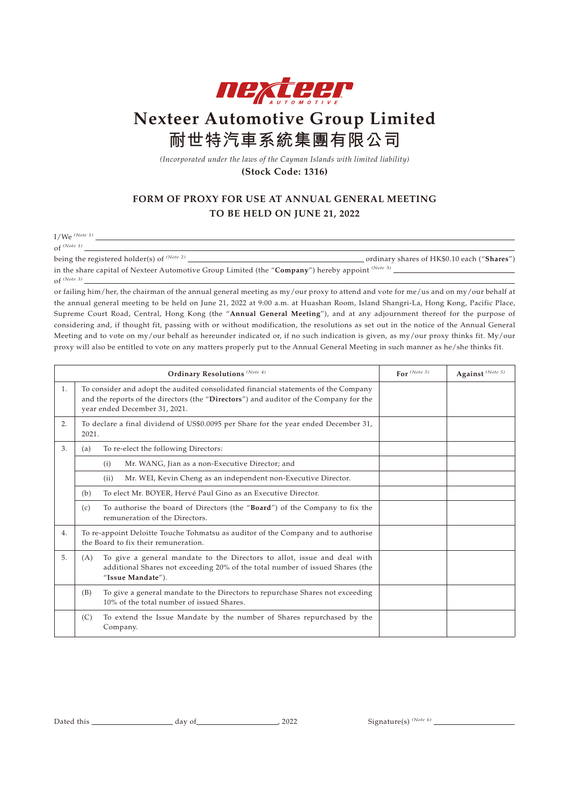

## **Nexteer Automotive Group Limited 耐世特汽車系統集團有限公司**

*(Incorporated under the laws of the Cayman Islands with limited liability)* **(Stock Code: 1316)**

## **FORM OF PROXY FOR USE AT ANNUAL GENERAL MEETING TO BE HELD ON JUNE 21, 2022**

I/We *(Note 1)*

of  $^{(Note 1)}$  <br>  $\label{eq:1}$  being the registered holder(s) of<br>  $^{(Note 2)}$ 

being the registered holder(s) of *(Note 2)* ordinary shares of HK\$0.10 each ("**Shares**") in the share capital of Nexteer Automotive Group Limited (the "**Company**") hereby appoint *(Note 3)* of *(Note 3)*

or failing him/her, the chairman of the annual general meeting as my/our proxy to attend and vote for me/us and on my/our behalf at the annual general meeting to be held on June 21, 2022 at 9:00 a.m. at Huashan Room, Island Shangri-La, Hong Kong, Pacific Place, Supreme Court Road, Central, Hong Kong (the "**Annual General Meeting**"), and at any adjournment thereof for the purpose of considering and, if thought fit, passing with or without modification, the resolutions as set out in the notice of the Annual General Meeting and to vote on my/our behalf as hereunder indicated or, if no such indication is given, as my/our proxy thinks fit. My/our proxy will also be entitled to vote on any matters properly put to the Annual General Meeting in such manner as he/she thinks fit.

| Ordinary Resolutions (Note 4) |                                                                                                                                                                                                              |                                                                                                                                                                                | For $^{(Note 5)}$ | Against (Note 5) |
|-------------------------------|--------------------------------------------------------------------------------------------------------------------------------------------------------------------------------------------------------------|--------------------------------------------------------------------------------------------------------------------------------------------------------------------------------|-------------------|------------------|
| 1.                            | To consider and adopt the audited consolidated financial statements of the Company<br>and the reports of the directors (the "Directors") and auditor of the Company for the<br>year ended December 31, 2021. |                                                                                                                                                                                |                   |                  |
| 2.                            | To declare a final dividend of US\$0.0095 per Share for the year ended December 31,<br>2021.                                                                                                                 |                                                                                                                                                                                |                   |                  |
| 3.                            | (a)                                                                                                                                                                                                          | To re-elect the following Directors:                                                                                                                                           |                   |                  |
|                               |                                                                                                                                                                                                              | Mr. WANG, Jian as a non-Executive Director; and<br>(i)                                                                                                                         |                   |                  |
|                               |                                                                                                                                                                                                              | Mr. WEI, Kevin Cheng as an independent non-Executive Director.<br>(ii)                                                                                                         |                   |                  |
|                               | (b)                                                                                                                                                                                                          | To elect Mr. BOYER, Hervé Paul Gino as an Executive Director.                                                                                                                  |                   |                  |
|                               | (c)                                                                                                                                                                                                          | To authorise the board of Directors (the "Board") of the Company to fix the<br>remuneration of the Directors.                                                                  |                   |                  |
| 4.                            | To re-appoint Deloitte Touche Tohmatsu as auditor of the Company and to authorise<br>the Board to fix their remuneration.                                                                                    |                                                                                                                                                                                |                   |                  |
| 5.                            | (A)                                                                                                                                                                                                          | To give a general mandate to the Directors to allot, issue and deal with<br>additional Shares not exceeding 20% of the total number of issued Shares (the<br>"Issue Mandate"). |                   |                  |
|                               | (B)                                                                                                                                                                                                          | To give a general mandate to the Directors to repurchase Shares not exceeding<br>10% of the total number of issued Shares.                                                     |                   |                  |
|                               | (C)                                                                                                                                                                                                          | To extend the Issue Mandate by the number of Shares repurchased by the<br>Company.                                                                                             |                   |                  |